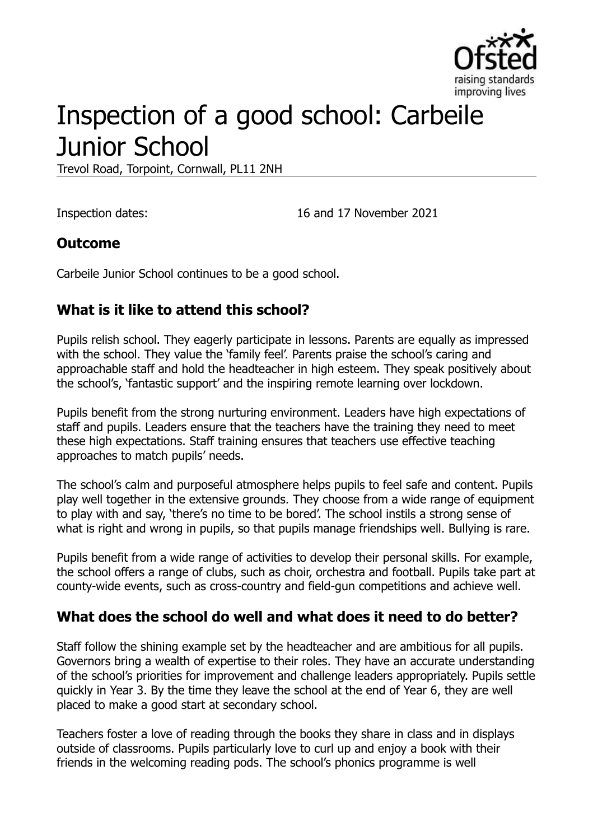

# Inspection of a good school: Carbeile Junior School

Trevol Road, Torpoint, Cornwall, PL11 2NH

Inspection dates: 16 and 17 November 2021

### **Outcome**

Carbeile Junior School continues to be a good school.

## **What is it like to attend this school?**

Pupils relish school. They eagerly participate in lessons. Parents are equally as impressed with the school. They value the 'family feel'. Parents praise the school's caring and approachable staff and hold the headteacher in high esteem. They speak positively about the school's, 'fantastic support' and the inspiring remote learning over lockdown.

Pupils benefit from the strong nurturing environment. Leaders have high expectations of staff and pupils. Leaders ensure that the teachers have the training they need to meet these high expectations. Staff training ensures that teachers use effective teaching approaches to match pupils' needs.

The school's calm and purposeful atmosphere helps pupils to feel safe and content. Pupils play well together in the extensive grounds. They choose from a wide range of equipment to play with and say, 'there's no time to be bored'. The school instils a strong sense of what is right and wrong in pupils, so that pupils manage friendships well. Bullying is rare.

Pupils benefit from a wide range of activities to develop their personal skills. For example, the school offers a range of clubs, such as choir, orchestra and football. Pupils take part at county-wide events, such as cross-country and field-gun competitions and achieve well.

### **What does the school do well and what does it need to do better?**

Staff follow the shining example set by the headteacher and are ambitious for all pupils. Governors bring a wealth of expertise to their roles. They have an accurate understanding of the school's priorities for improvement and challenge leaders appropriately. Pupils settle quickly in Year 3. By the time they leave the school at the end of Year 6, they are well placed to make a good start at secondary school.

Teachers foster a love of reading through the books they share in class and in displays outside of classrooms. Pupils particularly love to curl up and enjoy a book with their friends in the welcoming reading pods. The school's phonics programme is well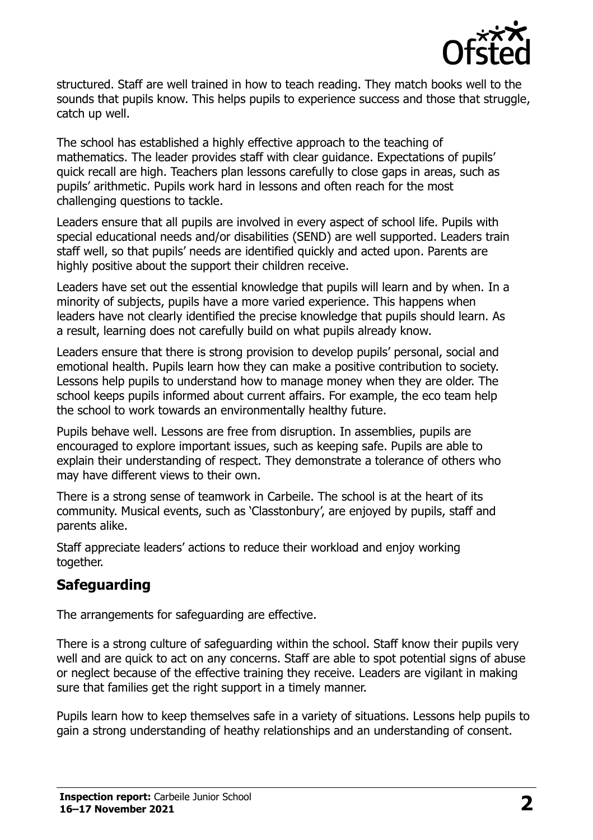

structured. Staff are well trained in how to teach reading. They match books well to the sounds that pupils know. This helps pupils to experience success and those that struggle, catch up well.

The school has established a highly effective approach to the teaching of mathematics. The leader provides staff with clear guidance. Expectations of pupils' quick recall are high. Teachers plan lessons carefully to close gaps in areas, such as pupils' arithmetic. Pupils work hard in lessons and often reach for the most challenging questions to tackle.

Leaders ensure that all pupils are involved in every aspect of school life. Pupils with special educational needs and/or disabilities (SEND) are well supported. Leaders train staff well, so that pupils' needs are identified quickly and acted upon. Parents are highly positive about the support their children receive.

Leaders have set out the essential knowledge that pupils will learn and by when. In a minority of subjects, pupils have a more varied experience. This happens when leaders have not clearly identified the precise knowledge that pupils should learn. As a result, learning does not carefully build on what pupils already know.

Leaders ensure that there is strong provision to develop pupils' personal, social and emotional health. Pupils learn how they can make a positive contribution to society. Lessons help pupils to understand how to manage money when they are older. The school keeps pupils informed about current affairs. For example, the eco team help the school to work towards an environmentally healthy future.

Pupils behave well. Lessons are free from disruption. In assemblies, pupils are encouraged to explore important issues, such as keeping safe. Pupils are able to explain their understanding of respect. They demonstrate a tolerance of others who may have different views to their own.

There is a strong sense of teamwork in Carbeile. The school is at the heart of its community. Musical events, such as 'Classtonbury', are enjoyed by pupils, staff and parents alike.

Staff appreciate leaders' actions to reduce their workload and enjoy working together.

## **Safeguarding**

The arrangements for safeguarding are effective.

There is a strong culture of safeguarding within the school. Staff know their pupils very well and are quick to act on any concerns. Staff are able to spot potential signs of abuse or neglect because of the effective training they receive. Leaders are vigilant in making sure that families get the right support in a timely manner.

Pupils learn how to keep themselves safe in a variety of situations. Lessons help pupils to gain a strong understanding of heathy relationships and an understanding of consent.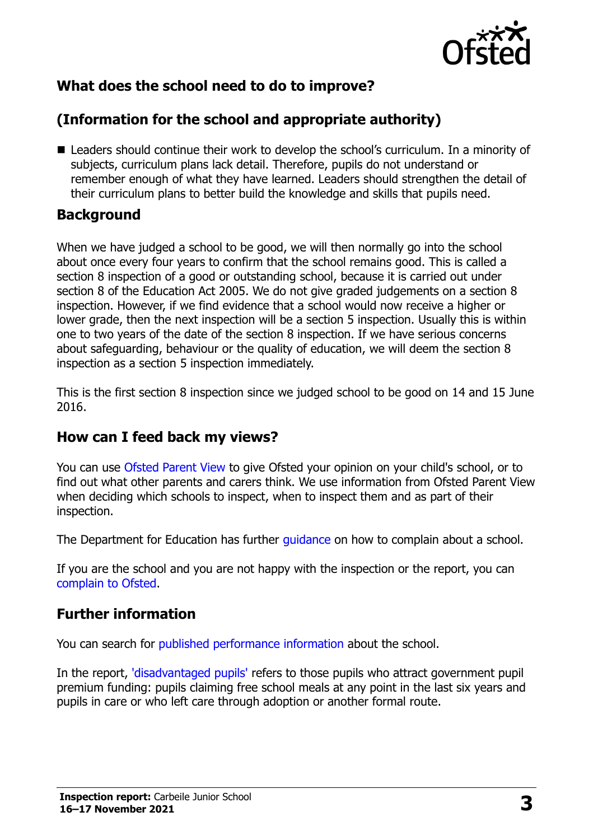

## **What does the school need to do to improve?**

## **(Information for the school and appropriate authority)**

■ Leaders should continue their work to develop the school's curriculum. In a minority of subjects, curriculum plans lack detail. Therefore, pupils do not understand or remember enough of what they have learned. Leaders should strengthen the detail of their curriculum plans to better build the knowledge and skills that pupils need.

#### **Background**

When we have judged a school to be good, we will then normally go into the school about once every four years to confirm that the school remains good. This is called a section 8 inspection of a good or outstanding school, because it is carried out under section 8 of the Education Act 2005. We do not give graded judgements on a section 8 inspection. However, if we find evidence that a school would now receive a higher or lower grade, then the next inspection will be a section 5 inspection. Usually this is within one to two years of the date of the section 8 inspection. If we have serious concerns about safeguarding, behaviour or the quality of education, we will deem the section 8 inspection as a section 5 inspection immediately.

This is the first section 8 inspection since we judged school to be good on 14 and 15 June 2016.

### **How can I feed back my views?**

You can use [Ofsted Parent View](https://parentview.ofsted.gov.uk/) to give Ofsted your opinion on your child's school, or to find out what other parents and carers think. We use information from Ofsted Parent View when deciding which schools to inspect, when to inspect them and as part of their inspection.

The Department for Education has further [guidance](http://www.gov.uk/complain-about-school) on how to complain about a school.

If you are the school and you are not happy with the inspection or the report, you can [complain to Ofsted.](https://www.gov.uk/complain-ofsted-report)

### **Further information**

You can search for [published performance information](http://www.compare-school-performance.service.gov.uk/) about the school.

In the report, ['disadvantaged pupils'](http://www.gov.uk/guidance/pupil-premium-information-for-schools-and-alternative-provision-settings) refers to those pupils who attract government pupil premium funding: pupils claiming free school meals at any point in the last six years and pupils in care or who left care through adoption or another formal route.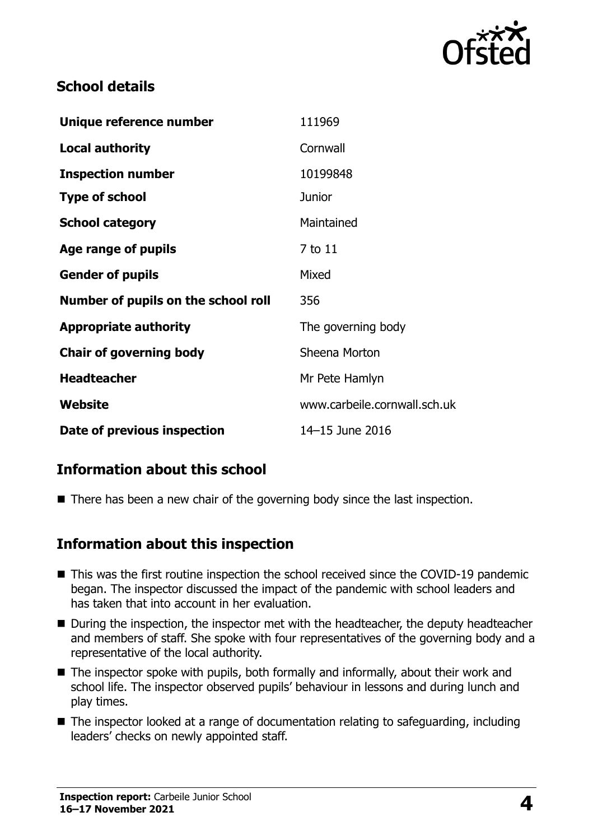

## **School details**

| Unique reference number             | 111969                       |
|-------------------------------------|------------------------------|
| <b>Local authority</b>              | Cornwall                     |
| <b>Inspection number</b>            | 10199848                     |
| <b>Type of school</b>               | <b>Junior</b>                |
| <b>School category</b>              | Maintained                   |
| Age range of pupils                 | 7 to 11                      |
| <b>Gender of pupils</b>             | Mixed                        |
| Number of pupils on the school roll | 356                          |
| <b>Appropriate authority</b>        | The governing body           |
| <b>Chair of governing body</b>      | Sheena Morton                |
| <b>Headteacher</b>                  | Mr Pete Hamlyn               |
| Website                             | www.carbeile.cornwall.sch.uk |
| Date of previous inspection         | 14-15 June 2016              |

## **Information about this school**

■ There has been a new chair of the governing body since the last inspection.

### **Information about this inspection**

- This was the first routine inspection the school received since the COVID-19 pandemic began. The inspector discussed the impact of the pandemic with school leaders and has taken that into account in her evaluation.
- During the inspection, the inspector met with the headteacher, the deputy headteacher and members of staff. She spoke with four representatives of the governing body and a representative of the local authority.
- The inspector spoke with pupils, both formally and informally, about their work and school life. The inspector observed pupils' behaviour in lessons and during lunch and play times.
- The inspector looked at a range of documentation relating to safeguarding, including leaders' checks on newly appointed staff.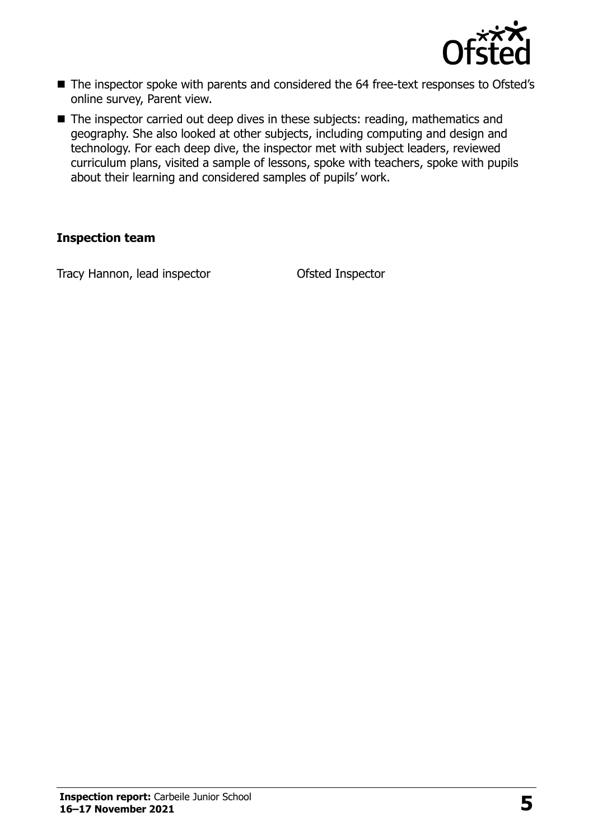

- The inspector spoke with parents and considered the 64 free-text responses to Ofsted's online survey, Parent view.
- The inspector carried out deep dives in these subjects: reading, mathematics and geography. She also looked at other subjects, including computing and design and technology. For each deep dive, the inspector met with subject leaders, reviewed curriculum plans, visited a sample of lessons, spoke with teachers, spoke with pupils about their learning and considered samples of pupils' work.

#### **Inspection team**

Tracy Hannon, lead inspector Ofsted Inspector